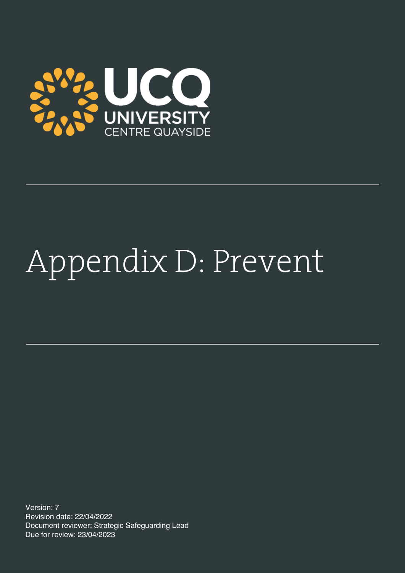

# Appendix D: Prevent

Version: 7 Revision date: 22/04/2022 Document reviewer: Strategic Safeguarding Lead Due for review: 23/04/2023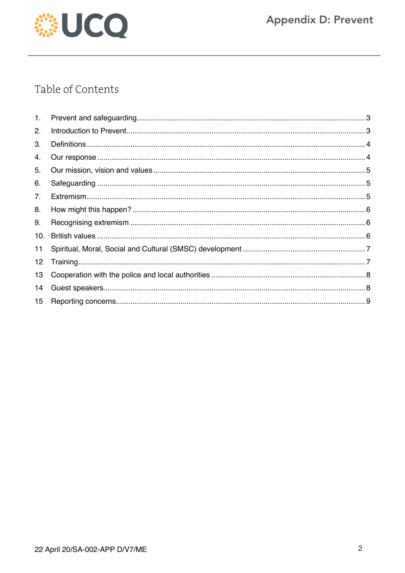

# Table of Contents

| 1.  |  |
|-----|--|
| 2.  |  |
| 3.  |  |
| 4.  |  |
| 5.  |  |
| 6.  |  |
| 7.  |  |
| 8.  |  |
| 9.  |  |
| 10. |  |
| 11  |  |
| 12  |  |
| 13  |  |
| 14  |  |
| 15  |  |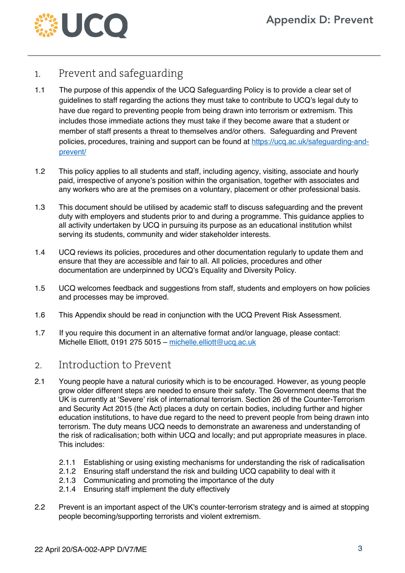

# 1. Prevent and safeguarding

- 1.1 The purpose of this appendix of the UCQ Safeguarding Policy is to provide a clear set of guidelines to staff regarding the actions they must take to contribute to UCQ's legal duty to have due regard to preventing people from being drawn into terrorism or extremism. This includes those immediate actions they must take if they become aware that a student or member of staff presents a threat to themselves and/or others. Safeguarding and Prevent policies, procedures, training and support can be found at https://ucq.ac.uk/safeguarding-andprevent/
- 1.2 This policy applies to all students and staff, including agency, visiting, associate and hourly paid, irrespective of anyone's position within the organisation, together with associates and any workers who are at the premises on a voluntary, placement or other professional basis.
- 1.3 This document should be utilised by academic staff to discuss safeguarding and the prevent duty with employers and students prior to and during a programme. This guidance applies to all activity undertaken by UCQ in pursuing its purpose as an educational institution whilst serving its students, community and wider stakeholder interests.
- 1.4 UCQ reviews its policies, procedures and other documentation regularly to update them and ensure that they are accessible and fair to all. All policies, procedures and other documentation are underpinned by UCQ's Equality and Diversity Policy.
- 1.5 UCQ welcomes feedback and suggestions from staff, students and employers on how policies and processes may be improved.
- 1.6 This Appendix should be read in conjunction with the UCQ Prevent Risk Assessment.
- 1.7 If you require this document in an alternative format and/or language, please contact: Michelle Elliott, 0191 275 5015 – michelle.elliott@ucq.ac.uk

## 2. Introduction to Prevent

- 2.1 Young people have a natural curiosity which is to be encouraged. However, as young people grow older different steps are needed to ensure their safety. The Government deems that the UK is currently at 'Severe' risk of international terrorism. Section 26 of the Counter-Terrorism and Security Act 2015 (the Act) places a duty on certain bodies, including further and higher education institutions, to have due regard to the need to prevent people from being drawn into terrorism. The duty means UCQ needs to demonstrate an awareness and understanding of the risk of radicalisation; both within UCQ and locally; and put appropriate measures in place. This includes:
	- 2.1.1 Establishing or using existing mechanisms for understanding the risk of radicalisation
	- 2.1.2 Ensuring staff understand the risk and building UCQ capability to deal with it
	- 2.1.3 Communicating and promoting the importance of the duty
	- 2.1.4 Ensuring staff implement the duty effectively
- 2.2 Prevent is an important aspect of the UK's counter-terrorism strategy and is aimed at stopping people becoming/supporting terrorists and violent extremism.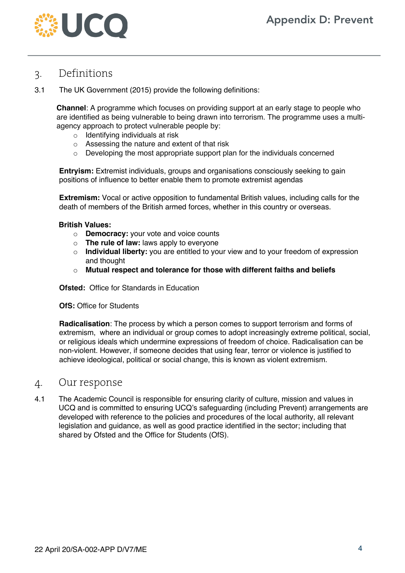

## 3. Definitions

3.1 The UK Government (2015) provide the following definitions:

**Channel**: A programme which focuses on providing support at an early stage to people who are identified as being vulnerable to being drawn into terrorism. The programme uses a multiagency approach to protect vulnerable people by:

- $\circ$  Identifying individuals at risk
- o Assessing the nature and extent of that risk
- $\circ$  Developing the most appropriate support plan for the individuals concerned

**Entryism:** Extremist individuals, groups and organisations consciously seeking to gain positions of influence to better enable them to promote extremist agendas

**Extremism:** Vocal or active opposition to fundamental British values, including calls for the death of members of the British armed forces, whether in this country or overseas.

#### **British Values:**

- o **Democracy:** your vote and voice counts
- o **The rule of law:** laws apply to everyone
- o **Individual liberty:** you are entitled to your view and to your freedom of expression and thought
- o **Mutual respect and tolerance for those with different faiths and beliefs**

**Ofsted:** Office for Standards in Education

#### **OfS: Office for Students**

**Radicalisation**: The process by which a person comes to support terrorism and forms of extremism, where an individual or group comes to adopt increasingly extreme political, social, or religious ideals which undermine expressions of freedom of choice. Radicalisation can be non-violent. However, if someone decides that using fear, terror or violence is justified to achieve ideological, political or social change, this is known as violent extremism.

## 4. Our response

4.1 The Academic Council is responsible for ensuring clarity of culture, mission and values in UCQ and is committed to ensuring UCQ's safeguarding (including Prevent) arrangements are developed with reference to the policies and procedures of the local authority, all relevant legislation and guidance, as well as good practice identified in the sector; including that shared by Ofsted and the Office for Students (OfS).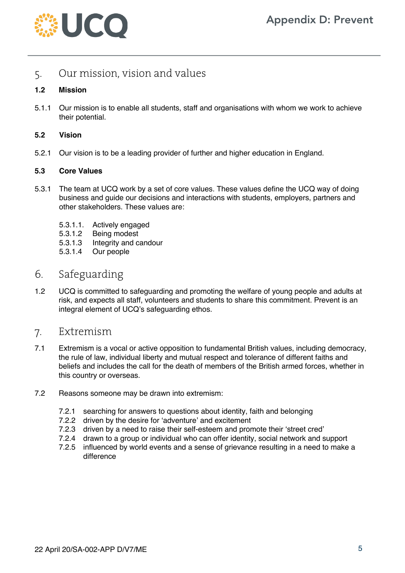

# 5. Our mission, vision and values

### **1.2 Mission**

5.1.1 Our mission is to enable all students, staff and organisations with whom we work to achieve their potential.

#### **5.2 Vision**

5.2.1 Our vision is to be a leading provider of further and higher education in England.

#### **5.3 Core Values**

- 5.3.1 The team at UCQ work by a set of core values. These values define the UCQ way of doing business and guide our decisions and interactions with students, employers, partners and other stakeholders. These values are:
	- 5.3.1.1. Actively engaged
	- 5.3.1.2 Being modest
	- 5.3.1.3 Integrity and candour
	- 5.3.1.4 Our people

# 6. Safeguarding

1.2 UCQ is committed to safeguarding and promoting the welfare of young people and adults at risk, and expects all staff, volunteers and students to share this commitment. Prevent is an integral element of UCQ's safeguarding ethos.

## 7. Extremism

- 7.1 Extremism is a vocal or active opposition to fundamental British values, including democracy, the rule of law, individual liberty and mutual respect and tolerance of different faiths and beliefs and includes the call for the death of members of the British armed forces, whether in this country or overseas.
- 7.2 Reasons someone may be drawn into extremism:
	- 7.2.1 searching for answers to questions about identity, faith and belonging
	- 7.2.2 driven by the desire for 'adventure' and excitement
	- 7.2.3 driven by a need to raise their self-esteem and promote their 'street cred'
	- 7.2.4 drawn to a group or individual who can offer identity, social network and support
	- 7.2.5 influenced by world events and a sense of grievance resulting in a need to make a difference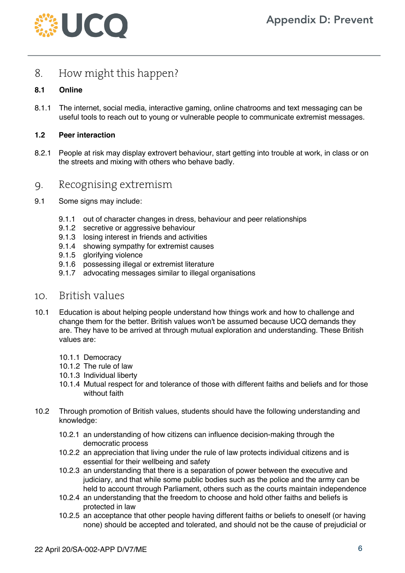

# 8. How might this happen?

## **8.1 Online**

8.1.1 The internet, social media, interactive gaming, online chatrooms and text messaging can be useful tools to reach out to young or vulnerable people to communicate extremist messages.

#### **1.2 Peer interaction**

8.2.1 People at risk may display extrovert behaviour, start getting into trouble at work, in class or on the streets and mixing with others who behave badly.

## 9. Recognising extremism

- 9.1 Some signs may include:
	- 9.1.1 out of character changes in dress, behaviour and peer relationships
	- 9.1.2 secretive or aggressive behaviour
	- 9.1.3 losing interest in friends and activities
	- 9.1.4 showing sympathy for extremist causes
	- 9.1.5 glorifying violence
	- 9.1.6 possessing illegal or extremist literature
	- 9.1.7 advocating messages similar to illegal organisations

## 10. British values

- 10.1 Education is about helping people understand how things work and how to challenge and change them for the better. British values won't be assumed because UCQ demands they are. They have to be arrived at through mutual exploration and understanding. These British values are:
	- 10.1.1 Democracy
	- 10.1.2 The rule of law
	- 10.1.3 Individual liberty
	- 10.1.4 Mutual respect for and tolerance of those with different faiths and beliefs and for those without faith
- 10.2 Through promotion of British values, students should have the following understanding and knowledge:
	- 10.2.1 an understanding of how citizens can influence decision-making through the democratic process
	- 10.2.2 an appreciation that living under the rule of law protects individual citizens and is essential for their wellbeing and safety
	- 10.2.3 an understanding that there is a separation of power between the executive and judiciary, and that while some public bodies such as the police and the army can be held to account through Parliament, others such as the courts maintain independence
	- 10.2.4 an understanding that the freedom to choose and hold other faiths and beliefs is protected in law
	- 10.2.5 an acceptance that other people having different faiths or beliefs to oneself (or having none) should be accepted and tolerated, and should not be the cause of prejudicial or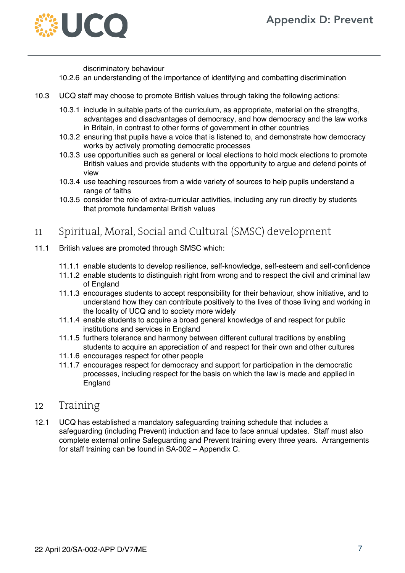

discriminatory behaviour

- 10.2.6 an understanding of the importance of identifying and combatting discrimination
- 10.3 UCQ staff may choose to promote British values through taking the following actions:
	- 10.3.1 include in suitable parts of the curriculum, as appropriate, material on the strengths, advantages and disadvantages of democracy, and how democracy and the law works in Britain, in contrast to other forms of government in other countries
	- 10.3.2 ensuring that pupils have a voice that is listened to, and demonstrate how democracy works by actively promoting democratic processes
	- 10.3.3 use opportunities such as general or local elections to hold mock elections to promote British values and provide students with the opportunity to argue and defend points of view
	- 10.3.4 use teaching resources from a wide variety of sources to help pupils understand a range of faiths
	- 10.3.5 consider the role of extra-curricular activities, including any run directly by students that promote fundamental British values

# 11 Spiritual, Moral, Social and Cultural (SMSC) development

- 11.1 British values are promoted through SMSC which:
	- 11.1.1 enable students to develop resilience, self-knowledge, self-esteem and self-confidence
	- 11.1.2 enable students to distinguish right from wrong and to respect the civil and criminal law of England
	- 11.1.3 encourages students to accept responsibility for their behaviour, show initiative, and to understand how they can contribute positively to the lives of those living and working in the locality of UCQ and to society more widely
	- 11.1.4 enable students to acquire a broad general knowledge of and respect for public institutions and services in England
	- 11.1.5 furthers tolerance and harmony between different cultural traditions by enabling students to acquire an appreciation of and respect for their own and other cultures
	- 11.1.6 encourages respect for other people
	- 11.1.7 encourages respect for democracy and support for participation in the democratic processes, including respect for the basis on which the law is made and applied in England

## 12 Training

12.1 UCQ has established a mandatory safeguarding training schedule that includes a safeguarding (including Prevent) induction and face to face annual updates. Staff must also complete external online Safeguarding and Prevent training every three years. Arrangements for staff training can be found in SA-002 – Appendix C.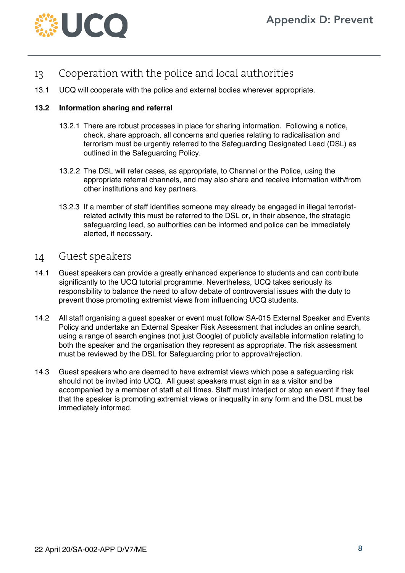

- 13 Cooperation with the police and local authorities
- 13.1 UCQ will cooperate with the police and external bodies wherever appropriate.

#### **13.2 Information sharing and referral**

- 13.2.1 There are robust processes in place for sharing information. Following a notice, check, share approach, all concerns and queries relating to radicalisation and terrorism must be urgently referred to the Safeguarding Designated Lead (DSL) as outlined in the Safeguarding Policy.
- 13.2.2 The DSL will refer cases, as appropriate, to Channel or the Police, using the appropriate referral channels, and may also share and receive information with/from other institutions and key partners.
- 13.2.3 If a member of staff identifies someone may already be engaged in illegal terroristrelated activity this must be referred to the DSL or, in their absence, the strategic safeguarding lead, so authorities can be informed and police can be immediately alerted, if necessary.

## 14 Guest speakers

- 14.1 Guest speakers can provide a greatly enhanced experience to students and can contribute significantly to the UCQ tutorial programme. Nevertheless, UCQ takes seriously its responsibility to balance the need to allow debate of controversial issues with the duty to prevent those promoting extremist views from influencing UCQ students.
- 14.2 All staff organising a guest speaker or event must follow SA-015 External Speaker and Events Policy and undertake an External Speaker Risk Assessment that includes an online search, using a range of search engines (not just Google) of publicly available information relating to both the speaker and the organisation they represent as appropriate. The risk assessment must be reviewed by the DSL for Safeguarding prior to approval/rejection.
- 14.3 Guest speakers who are deemed to have extremist views which pose a safeguarding risk should not be invited into UCQ. All guest speakers must sign in as a visitor and be accompanied by a member of staff at all times. Staff must interject or stop an event if they feel that the speaker is promoting extremist views or inequality in any form and the DSL must be immediately informed.